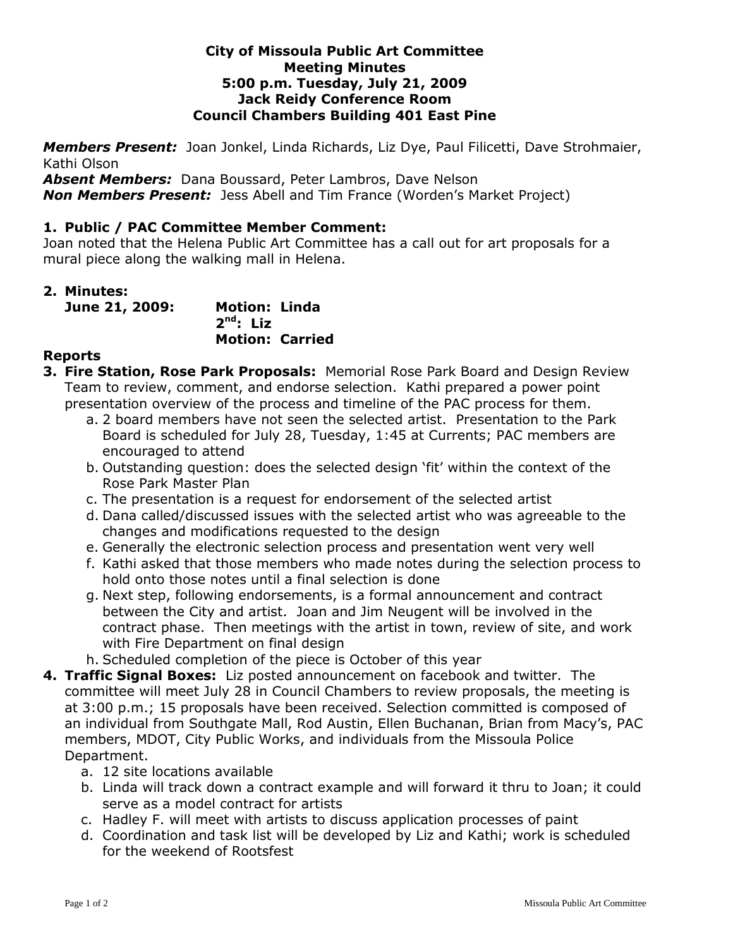#### **City of Missoula Public Art Committee Meeting Minutes 5:00 p.m. Tuesday, July 21, 2009 Jack Reidy Conference Room Council Chambers Building 401 East Pine**

*Members Present:* Joan Jonkel, Linda Richards, Liz Dye, Paul Filicetti, Dave Strohmaier, Kathi Olson

*Absent Members:* Dana Boussard, Peter Lambros, Dave Nelson *Non Members Present:* Jess Abell and Tim France (Worden's Market Project)

#### **1. Public / PAC Committee Member Comment:**

Joan noted that the Helena Public Art Committee has a call out for art proposals for a mural piece along the walking mall in Helena.

# **2. Minutes:**

**June 21, 2009: Motion: Linda 2 nd: Liz Motion: Carried**

# **Reports**

- **3. Fire Station, Rose Park Proposals:** Memorial Rose Park Board and Design Review Team to review, comment, and endorse selection. Kathi prepared a power point presentation overview of the process and timeline of the PAC process for them.
	- a. 2 board members have not seen the selected artist. Presentation to the Park Board is scheduled for July 28, Tuesday, 1:45 at Currents; PAC members are encouraged to attend
	- b. Outstanding question: does the selected design 'fit' within the context of the Rose Park Master Plan
	- c. The presentation is a request for endorsement of the selected artist
	- d. Dana called/discussed issues with the selected artist who was agreeable to the changes and modifications requested to the design
	- e. Generally the electronic selection process and presentation went very well
	- f. Kathi asked that those members who made notes during the selection process to hold onto those notes until a final selection is done
	- g. Next step, following endorsements, is a formal announcement and contract between the City and artist. Joan and Jim Neugent will be involved in the contract phase. Then meetings with the artist in town, review of site, and work with Fire Department on final design
	- h. Scheduled completion of the piece is October of this year
- **4. Traffic Signal Boxes:** Liz posted announcement on facebook and twitter. The committee will meet July 28 in Council Chambers to review proposals, the meeting is at 3:00 p.m.; 15 proposals have been received. Selection committed is composed of an individual from Southgate Mall, Rod Austin, Ellen Buchanan, Brian from Macy's, PAC members, MDOT, City Public Works, and individuals from the Missoula Police Department.
	- a. 12 site locations available
	- b. Linda will track down a contract example and will forward it thru to Joan; it could serve as a model contract for artists
	- c. Hadley F. will meet with artists to discuss application processes of paint
	- d. Coordination and task list will be developed by Liz and Kathi; work is scheduled for the weekend of Rootsfest